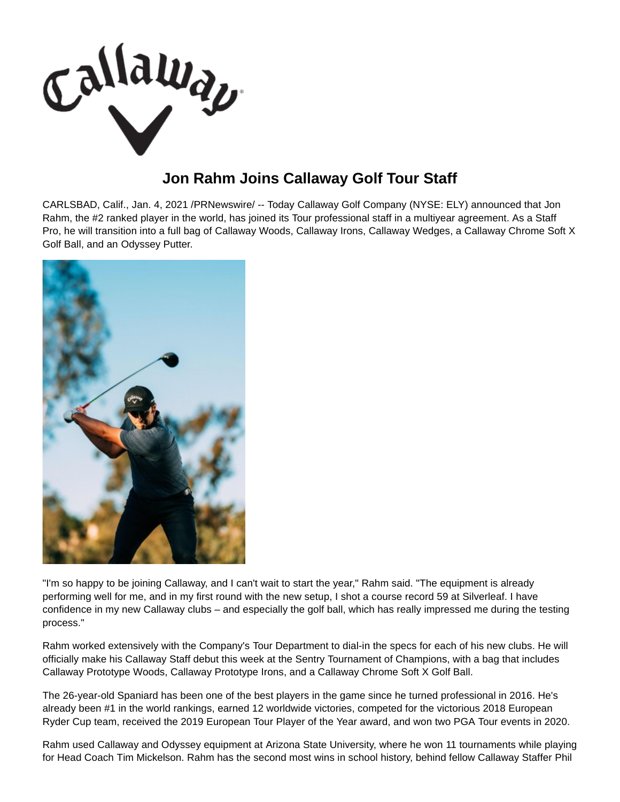

## **Jon Rahm Joins Callaway Golf Tour Staff**

CARLSBAD, Calif., Jan. 4, 2021 /PRNewswire/ -- Today Callaway Golf Company (NYSE: ELY) announced that Jon Rahm, the #2 ranked player in the world, has joined its Tour professional staff in a multiyear agreement. As a Staff Pro, he will transition into a full bag of Callaway Woods, Callaway Irons, Callaway Wedges, a Callaway Chrome Soft X Golf Ball, and an Odyssey Putter.



"I'm so happy to be joining Callaway, and I can't wait to start the year," Rahm said. "The equipment is already performing well for me, and in my first round with the new setup, I shot a course record 59 at Silverleaf. I have confidence in my new Callaway clubs – and especially the golf ball, which has really impressed me during the testing process."

Rahm worked extensively with the Company's Tour Department to dial-in the specs for each of his new clubs. He will officially make his Callaway Staff debut this week at the Sentry Tournament of Champions, with a bag that includes Callaway Prototype Woods, Callaway Prototype Irons, and a Callaway Chrome Soft X Golf Ball.

The 26-year-old Spaniard has been one of the best players in the game since he turned professional in 2016. He's already been #1 in the world rankings, earned 12 worldwide victories, competed for the victorious 2018 European Ryder Cup team, received the 2019 European Tour Player of the Year award, and won two PGA Tour events in 2020.

Rahm used Callaway and Odyssey equipment at Arizona State University, where he won 11 tournaments while playing for Head Coach Tim Mickelson. Rahm has the second most wins in school history, behind fellow Callaway Staffer Phil